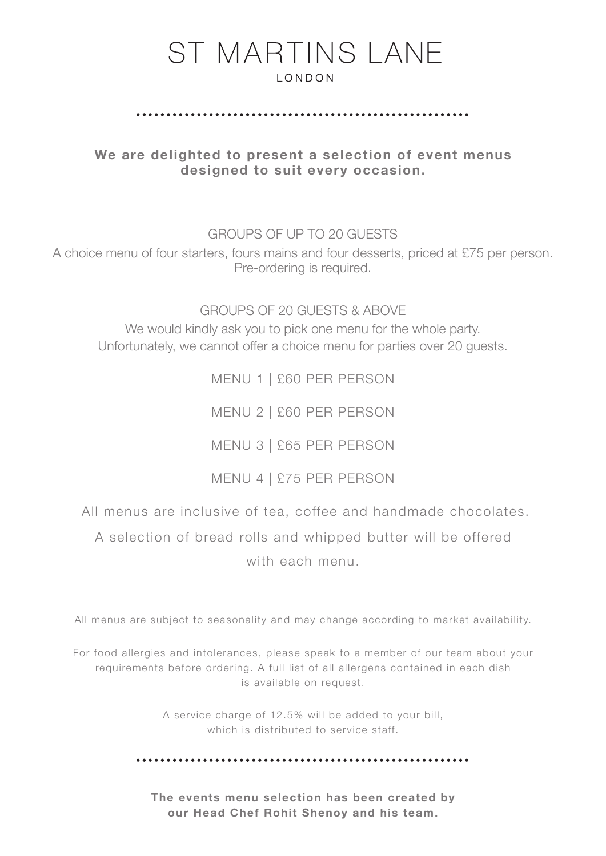#### 

We are delighted to present a selection of event menus designed to suit every occasion.

GROUPS OF UP TO 20 GUESTS

A choice menu of four starters, fours mains and four desserts, priced at £75 per person. Pre-ordering is required.

GROUPS OF 20 GUESTS & ABOVE We would kindly ask you to pick one menu for the whole party. Unfortunately, we cannot offer a choice menu for parties over 20 guests.

> MENU 1 | £60 PER PERSON MENU 2 | £60 PER PERSON MENU 3 | £65 PER PERSON MENU 4 | £75 PER PERSON

All menus are inclusive of tea, coffee and handmade chocolates.

A selection of bread rolls and whipped butter will be offered with each menu.

All menus are subject to seasonality and may change according to market availability.

For food allergies and intolerances, please speak to a member of our team about your requirements before ordering. A full list of all allergens contained in each dish is available on request.

> A service charge of 12.5% will be added to your bill, which is distributed to service staff.

The events menu selection has been created by our Head Chef Rohit Shenoy and his team.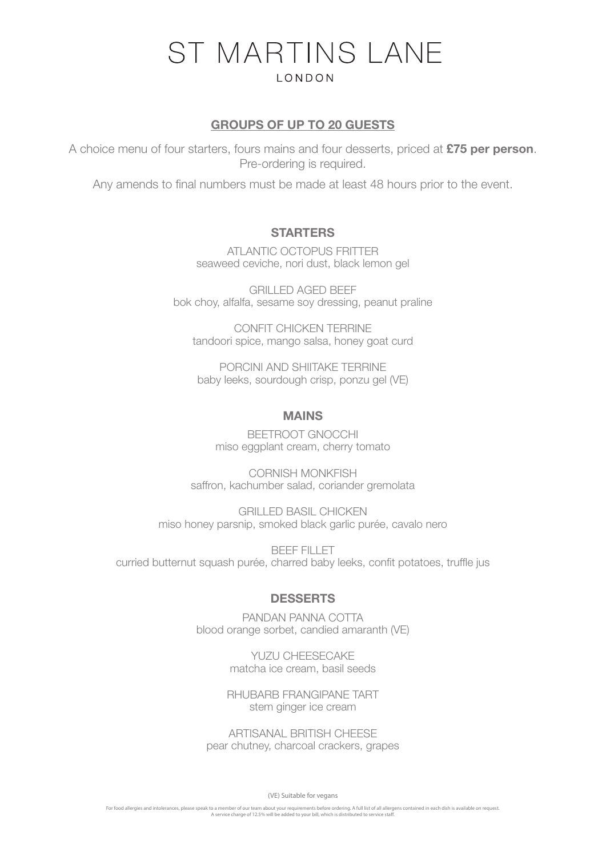#### GROUPS OF UP TO 20 GUESTS

A choice menu of four starters, fours mains and four desserts, priced at £75 per person. Pre-ordering is required.

Any amends to final numbers must be made at least 48 hours prior to the event.

#### **STARTERS**

ATLANTIC OCTOPUS FRITTER seaweed ceviche, nori dust, black lemon gel

GRILLED AGED BEEF bok choy, alfalfa, sesame soy dressing, peanut praline

CONFIT CHICKEN TERRINE tandoori spice, mango salsa, honey goat curd

PORCINI AND SHIITAKE TERRINE baby leeks, sourdough crisp, ponzu gel (VE)

#### MAINS

BEETROOT GNOCCHI miso eggplant cream, cherry tomato

CORNISH MONKFISH saffron, kachumber salad, coriander gremolata

GRILLED BASIL CHICKEN miso honey parsnip, smoked black garlic purée, cavalo nero

BEEF FILLET curried butternut squash purée, charred baby leeks, confit potatoes, truffle jus

#### **DESSERTS**

PANDAN PANNA COTTA blood orange sorbet, candied amaranth (VE)

> YUZU CHEESECAKE matcha ice cream, basil seeds

RHUBARB FRANGIPANE TART stem ginger ice cream

ARTISANAL BRITISH CHEESE pear chutney, charcoal crackers, grapes

(VE) Suitable for vegans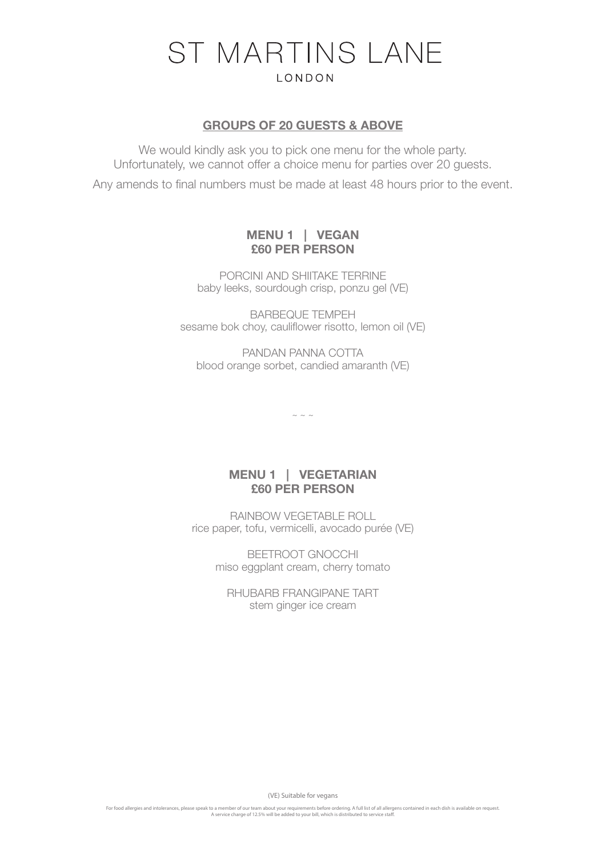#### GROUPS OF 20 GUESTS & ABOVE

We would kindly ask you to pick one menu for the whole party. Unfortunately, we cannot offer a choice menu for parties over 20 guests.

Any amends to final numbers must be made at least 48 hours prior to the event.

## MENU 1 | VEGAN £60 PER PERSON

PORCINI AND SHIITAKE TERRINE baby leeks, sourdough crisp, ponzu gel (VE)

BARBEQUE TEMPEH sesame bok choy, cauliflower risotto, lemon oil (VE)

PANDAN PANNA COTTA blood orange sorbet, candied amaranth (VE)

 $\sim$  ~ ~

### MENU 1 | VEGETARIAN £60 PER PERSON

RAINBOW VEGETABLE ROLL rice paper, tofu, vermicelli, avocado purée (VE)

BEETROOT GNOCCHI miso eggplant cream, cherry tomato

RHUBARB FRANGIPANE TART stem ginger ice cream

(VE) Suitable for vegans